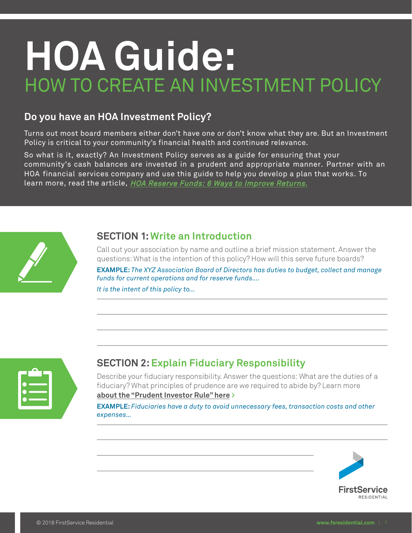# **HOA Guide:**  HOW TO CREATE AN INVESTMENT POLICY

#### **Do you have an HOA Investment Policy?**

Turns out most board members either don't have one or don't know what they are. But an Investment Policy is critical to your community's financial health and continued relevance.

So what is it, exactly? An Investment Policy serves as a guide for ensuring that your community's cash balances are invested in a prudent and appropriate manner. Partner with an HOA financial services company and use this guide to help you develop a plan that works. To learn more, read the article, [HOA Reserve Funds: 6 Ways to Improve Returns.](http://bit.ly/2w8fqsZ)



#### **SECTION 1:Write an Introduction**

Call out your association by name and outline a brief mission statement. Answer the questions: What is the intention of this policy? How will this serve future boards?

**EXAMPLE:** *The XYZ Association Board of Directors has duties to budget, collect and manage funds for current operations and for reserve funds….* 

*It is the intent of this policy to…*



### **SECTION 2:Explain Fiduciary Responsibility**

Describe your fiduciary responsibility. Answer the questions: What are the duties of a fiduciary? What principles of prudence are we required to abide by? Learn more **[about the "Prudent Investor Rule" here >](https://www.investopedia.com/terms/p/prudent-investor-rule.asp)**

**EXAMPLE:** *Fiduciaries have a duty to avoid unnecessary fees, transaction costs and other expenses…*

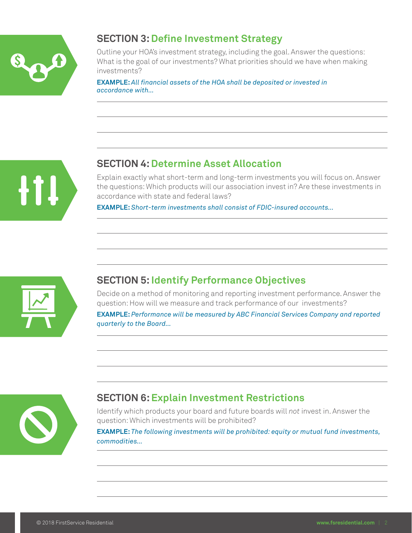

### **SECTION 3:Define Investment Strategy**

Outline your HOA's investment strategy, including the goal. Answer the questions: What is the goal of our investments? What priorities should we have when making investments?

**EXAMPLE:** *All financial assets of the HOA shall be deposited or invested in accordance with…* 



## **SECTION 4: Determine Asset Allocation**

Explain exactly what short-term and long-term investments you will focus on. Answer the questions: Which products will our association invest in? Are these investments in accordance with state and federal laws?

**EXAMPLE:** *Short-term investments shall consist of FDIC-insured accounts…*



### **SECTION 5: Identify Performance Objectives**

Decide on a method of monitoring and reporting investment performance. Answer the question: How will we measure and track performance of our investments?

**EXAMPLE:** *Performance will be measured by ABC Financial Services Company and reported quarterly to the Board…* 



# **SECTION 6: Explain Investment Restrictions**

Identify which products your board and future boards will *not* invest in. Answer the question: Which investments will be prohibited?

**EXAMPLE:** *The following investments will be prohibited: equity or mutual fund investments, commodities…*